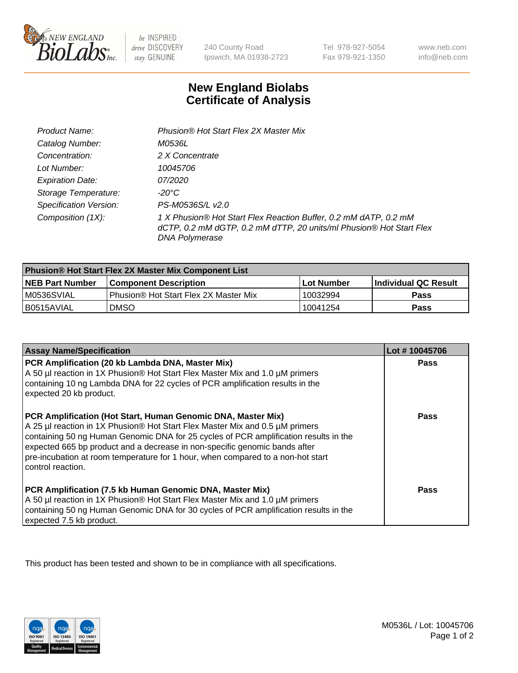

be INSPIRED drive DISCOVERY stay GENUINE

240 County Road Ipswich, MA 01938-2723

Tel 978-927-5054 Fax 978-921-1350

www.neb.com info@neb.com

## **New England Biolabs Certificate of Analysis**

| Product Name:                 | Phusion® Hot Start Flex 2X Master Mix                                                                                                                     |
|-------------------------------|-----------------------------------------------------------------------------------------------------------------------------------------------------------|
| Catalog Number:               | <i>M0536L</i>                                                                                                                                             |
| Concentration:                | 2 X Concentrate                                                                                                                                           |
| Lot Number:                   | 10045706                                                                                                                                                  |
| <b>Expiration Date:</b>       | <i>07/2020</i>                                                                                                                                            |
| Storage Temperature:          | -20°C                                                                                                                                                     |
| <b>Specification Version:</b> | PS-M0536S/L v2.0                                                                                                                                          |
| Composition (1X):             | 1 X Phusion® Hot Start Flex Reaction Buffer, 0.2 mM dATP, 0.2 mM<br>dCTP, 0.2 mM dGTP, 0.2 mM dTTP, 20 units/ml Phusion® Hot Start Flex<br>DNA Polymerase |

| <b>Phusion® Hot Start Flex 2X Master Mix Component List</b> |                                              |            |                      |  |
|-------------------------------------------------------------|----------------------------------------------|------------|----------------------|--|
| <b>NEB Part Number</b>                                      | <b>Component Description</b>                 | Lot Number | Individual QC Result |  |
| M0536SVIAL                                                  | <b>Phusion® Hot Start Flex 2X Master Mix</b> | 10032994   | <b>Pass</b>          |  |
| I B0515AVIAL                                                | <b>DMSO</b>                                  | 10041254   | <b>Pass</b>          |  |

| <b>Assay Name/Specification</b>                                                                                                                                                                                                                                                                                                                                                                                            | Lot #10045706 |
|----------------------------------------------------------------------------------------------------------------------------------------------------------------------------------------------------------------------------------------------------------------------------------------------------------------------------------------------------------------------------------------------------------------------------|---------------|
| PCR Amplification (20 kb Lambda DNA, Master Mix)<br>A 50 µl reaction in 1X Phusion® Hot Start Flex Master Mix and 1.0 µM primers<br>containing 10 ng Lambda DNA for 22 cycles of PCR amplification results in the<br>expected 20 kb product.                                                                                                                                                                               | Pass          |
| PCR Amplification (Hot Start, Human Genomic DNA, Master Mix)<br>A 25 µl reaction in 1X Phusion® Hot Start Flex Master Mix and 0.5 µM primers<br>containing 50 ng Human Genomic DNA for 25 cycles of PCR amplification results in the<br>expected 665 bp product and a decrease in non-specific genomic bands after<br>pre-incubation at room temperature for 1 hour, when compared to a non-hot start<br>control reaction. | <b>Pass</b>   |
| PCR Amplification (7.5 kb Human Genomic DNA, Master Mix)<br>A 50 µl reaction in 1X Phusion® Hot Start Flex Master Mix and 1.0 µM primers<br>containing 50 ng Human Genomic DNA for 30 cycles of PCR amplification results in the<br>expected 7.5 kb product.                                                                                                                                                               | Pass          |

This product has been tested and shown to be in compliance with all specifications.